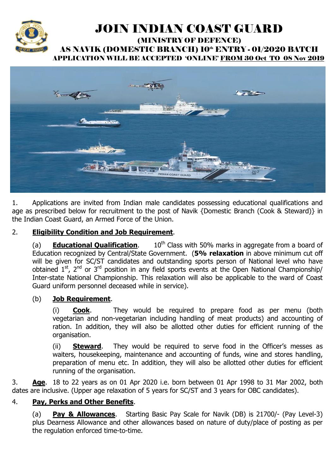

# JOIN INDIAN COAST GUARD

#### (MINISTRY OF DEFENCE) AS NAVIK (DOMESTIC BRANCH) 10<sup>th</sup> ENTRY - 01/2020 BATCH APPLICATION WILL BE ACCEPTED 'ONLINE' FROM 30 Oct TO 08 Nov 2019



1. Applications are invited from Indian male candidates possessing educational qualifications and age as prescribed below for recruitment to the post of Navik {Domestic Branch (Cook & Steward)} in the Indian Coast Guard, an Armed Force of the Union.

## 2. **Eligibility Condition and Job Requirement**.

(a) **Educational Qualification.** 10<sup>th</sup> Class with 50% marks in aggregate from a board of Education recognized by Central/State Government. (**5% relaxation** in above minimum cut off will be given for SC/ST candidates and outstanding sports person of National level who have obtained  $1^{st}$ ,  $2^{nd}$  or  $3^{rd}$  position in any field sports events at the Open National Championship/ Inter-state National Championship. This relaxation will also be applicable to the ward of Coast Guard uniform personnel deceased while in service).

#### (b) **Job Requirement**.

(i) **Cook**. They would be required to prepare food as per menu (both vegetarian and non-vegetarian including handling of meat products) and accounting of ration. In addition, they will also be allotted other duties for efficient running of the organisation.

(ii) **Steward**. They would be required to serve food in the Officer's messes as waiters, housekeeping, maintenance and accounting of funds, wine and stores handling, preparation of menu etc. In addition, they will also be allotted other duties for efficient running of the organisation.

3. **Age**. 18 to 22 years as on 01 Apr 2020 i.e. born between 01 Apr 1998 to 31 Mar 2002, both dates are inclusive. (Upper age relaxation of 5 years for SC/ST and 3 years for OBC candidates).

#### 4. **Pay, Perks and Other Benefits**.

(a) **Pay & Allowances**. Starting Basic Pay Scale for Navik (DB) is 21700/- (Pay Level-3) plus Dearness Allowance and other allowances based on nature of duty/place of posting as per the regulation enforced time-to-time.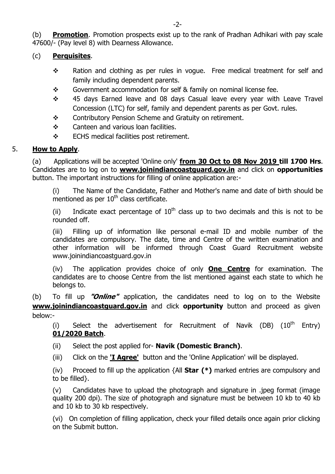(b) **Promotion**. Promotion prospects exist up to the rank of Pradhan Adhikari with pay scale 47600/- (Pay level 8) with Dearness Allowance.

## (c) **Perquisites**.

- $\div$  Ration and clothing as per rules in vogue. Free medical treatment for self and family including dependent parents.
- $\div$  Government accommodation for self & family on nominal license fee.
- \* 45 days Earned leave and 08 days Casual leave every year with Leave Travel Concession (LTC) for self, family and dependent parents as per Govt. rules.
- ◆ Contributory Pension Scheme and Gratuity on retirement.
- $\div$  Canteen and various loan facilities.
- $\div$  ECHS medical facilities post retirement.

# 5. **How to Apply**.

(a) Applications will be accepted 'Online only' **from 30 Oct to 08 Nov 2019 till 1700 Hrs**. Candidates are to log on to **www.joinindiancoastguard.gov.in** and click on **opportunities** button. The important instructions for filling of online application are:-

(i) The Name of the Candidate, Father and Mother's name and date of birth should be mentioned as per  $10<sup>th</sup>$  class certificate.

(ii) Indicate exact percentage of  $10^{th}$  class up to two decimals and this is not to be rounded off.

(iii) Filling up of information like personal e-mail ID and mobile number of the candidates are compulsory. The date, time and Centre of the written examination and other information will be informed through Coast Guard Recruitment website www.joinindiancoastguard.gov.in

(iv) The application provides choice of only **One Centre** for examination. The candidates are to choose Centre from the list mentioned against each state to which he belongs to.

(b) To fill up **"Online"** application, the candidates need to log on to the Website **www.joinindiancoastguard.gov.in** and click **opportunity** button and proceed as given below:-

(i) Select the advertisement for Recruitment of Navik (DB)  $(10^{th}$  Entry) **01/2020 Batch**.

(ii) Select the post applied for- **Navik (Domestic Branch)**.

(iii) Click on the **'I Agree'** button and the 'Online Application' will be displayed.

(iv) Proceed to fill up the application {All **Star (\*)** marked entries are compulsory and to be filled}.

(v) Candidates have to upload the photograph and signature in .jpeg format (image quality 200 dpi). The size of photograph and signature must be between 10 kb to 40 kb and 10 kb to 30 kb respectively.

(vi) On completion of filling application, check your filled details once again prior clicking on the Submit button.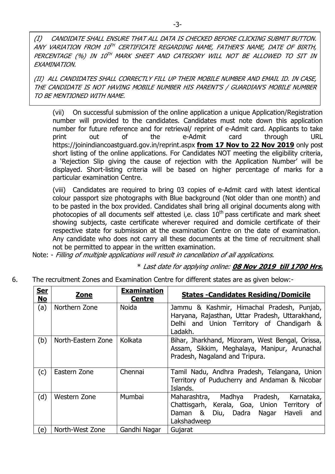(I) CANDIDATE SHALL ENSURE THAT ALL DATA IS CHECKED BEFORE CLICKING SUBMIT BUTTON. ANY VARIATION FROM 10TH CERTIFICATE REGARDING NAME, FATHER'S NAME, DATE OF BIRTH, PERCENTAGE (%) IN 10TH MARK SHEET AND CATEGORY WILL NOT BE ALLOWED TO SIT IN EXAMINATION.

(II) ALL CANDIDATES SHALL CORRECTLY FILL UP THEIR MOBILE NUMBER AND EMAIL ID. IN CASE, THE CANDIDATE IS NOT HAVING MOBILE NUMBER HIS PARENT'S / GUARDIAN'S MOBILE NUMBER TO BE MENTIONED WITH NAME.

(vii) On successful submission of the online application a unique Application/Registration number will provided to the candidates. Candidates must note down this application number for future reference and for retrieval/ reprint of e-Admit card. Applicants to take print out of the e-Admit card through URL https://joinindiancoastguard.gov.in/reprint.aspx **from 17 Nov to 22 Nov 2019** only post short listing of the online applications. For Candidates NOT meeting the eligibility criteria, a 'Rejection Slip giving the cause of rejection with the Application Number' will be displayed. Short-listing criteria will be based on higher percentage of marks for a particular examination Centre.

(viii) Candidates are required to bring 03 copies of e-Admit card with latest identical colour passport size photographs with Blue background (Not older than one month) and to be pasted in the box provided. Candidates shall bring all original documents along with photocopies of all documents self attested i,e. class  $10<sup>th</sup>$  pass certificate and mark sheet showing subjects, caste certificate wherever required and domicile certificate of their respective state for submission at the examination Centre on the date of examination. Any candidate who does not carry all these documents at the time of recruitment shall not be permitted to appear in the written examination.

Note: - Filling of multiple applications will result in cancellation of all applications.

\* Last date for applying online: **08 Nov 2019 till 1700 Hrs.**

6. The recruitment Zones and Examination Centre for different states are as given below:-

| <u>Ser</u><br><b>No</b> | <b>Zone</b>        | <b>Examination</b><br><b>Centre</b> | <b>States - Candidates Residing/Domicile</b>                                                                                                                 |
|-------------------------|--------------------|-------------------------------------|--------------------------------------------------------------------------------------------------------------------------------------------------------------|
| (a)                     | Northern Zone      | <b>Noida</b>                        | Jammu & Kashmir, Himachal Pradesh, Punjab,                                                                                                                   |
|                         |                    |                                     | Haryana, Rajasthan, Uttar Pradesh, Uttarakhand,<br>Delhi and Union Territory of Chandigarh &<br>Ladakh.                                                      |
| (b)                     | North-Eastern Zone | Kolkata                             | Bihar, Jharkhand, Mizoram, West Bengal, Orissa,<br>Assam, Sikkim, Meghalaya, Manipur, Arunachal<br>Pradesh, Nagaland and Tripura.                            |
| (c)                     | Eastern Zone       | Chennai                             | Tamil Nadu, Andhra Pradesh, Telangana, Union<br>Territory of Puducherry and Andaman & Nicobar<br>Islands.                                                    |
| (d)                     | Western Zone       | Mumbai                              | Maharashtra, Madhya Pradesh,<br>Karnataka,<br>Chattisgarh, Kerala, Goa, Union Territory of<br>Haveli<br>Daman &<br>Diu, Dadra<br>Nagar<br>and<br>Lakshadweep |
| e)                      | North-West Zone    | Gandhi Nagar                        | Gujarat                                                                                                                                                      |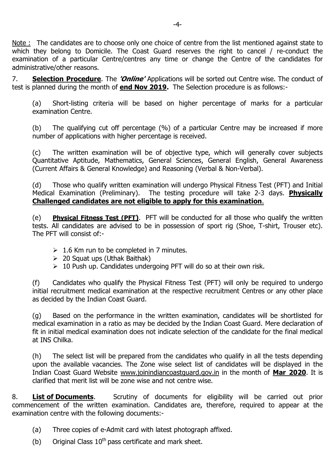Note : The candidates are to choose only one choice of centre from the list mentioned against state to which they belong to Domicile. The Coast Guard reserves the right to cancel / re-conduct the examination of a particular Centre/centres any time or change the Centre of the candidates for administrative/other reasons.

7. **Selection Procedure**. The **'Online'** Applications will be sorted out Centre wise. The conduct of test is planned during the month of **end Nov 2019.** The Selection procedure is as follows:-

(a) Short-listing criteria will be based on higher percentage of marks for a particular examination Centre.

(b) The qualifying cut off percentage (%) of a particular Centre may be increased if more number of applications with higher percentage is received.

(c) The written examination will be of objective type, which will generally cover subjects Quantitative Aptitude, Mathematics, General Sciences, General English, General Awareness (Current Affairs & General Knowledge) and Reasoning (Verbal & Non-Verbal).

(d) Those who qualify written examination will undergo Physical Fitness Test (PFT) and Initial Medical Examination (Preliminary). The testing procedure will take 2-3 days. **Physically Challenged candidates are not eligible to apply for this examination**.

(e) **Physical Fitness Test (PFT)**. PFT will be conducted for all those who qualify the written tests. All candidates are advised to be in possession of sport rig (Shoe, T-shirt, Trouser etc). The PFT will consist of:-

- $\geq 1.6$  Km run to be completed in 7 minutes.
- $\geq 20$  Squat ups (Uthak Baithak)
- $\geq 10$  Push up. Candidates undergoing PFT will do so at their own risk.

(f) Candidates who qualify the Physical Fitness Test (PFT) will only be required to undergo initial recruitment medical examination at the respective recruitment Centres or any other place as decided by the Indian Coast Guard.

(g) Based on the performance in the written examination, candidates will be shortlisted for medical examination in a ratio as may be decided by the Indian Coast Guard. Mere declaration of fit in initial medical examination does not indicate selection of the candidate for the final medical at INS Chilka.

(h) The select list will be prepared from the candidates who qualify in all the tests depending upon the available vacancies. The Zone wise select list of candidates will be displayed in the Indian Coast Guard Website www.joinindiancoastguard.gov.in in the month of **Mar 2020**. It is clarified that merit list will be zone wise and not centre wise.

8. **List of Documents**. Scrutiny of documents for eligibility will be carried out prior commencement of the written examination. Candidates are, therefore, required to appear at the examination centre with the following documents:-

- (a) Three copies of e-Admit card with latest photograph affixed.
- (b) Original Class  $10^{th}$  pass certificate and mark sheet.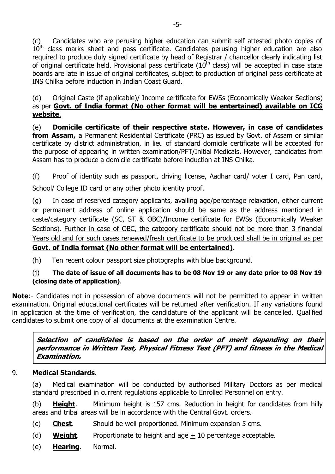(c) Candidates who are perusing higher education can submit self attested photo copies of  $10<sup>th</sup>$  class marks sheet and pass certificate. Candidates perusing higher education are also required to produce duly signed certificate by head of Registrar / chancellor clearly indicating list of original certificate held. Provisional pass certificate  $(10<sup>th</sup>$  class) will be accepted in case state boards are late in issue of original certificates, subject to production of original pass certificate at INS Chilka before induction in Indian Coast Guard.

(d) Original Caste (if applicable)/ Income certificate for EWSs (Economically Weaker Sections) as per **Govt. of India format (No other format will be entertained) available on ICG website**.

(e) **Domicile certificate of their respective state. However, in case of candidates from Assam,** a Permanent Residential Certificate (PRC) as issued by Govt. of Assam or similar certificate by district administration, in lieu of standard domicile certificate will be accepted for the purpose of appearing in written examination/PFT/Initial Medicals. However, candidates from Assam has to produce a domicile certificate before induction at INS Chilka.

(f) Proof of identity such as passport, driving license, Aadhar card/ voter I card, Pan card, School/ College ID card or any other photo identity proof.

(g) In case of reserved category applicants, availing age/percentage relaxation, either current or permanent address of online application should be same as the address mentioned in caste/category certificate (SC, ST & OBC)/Income certificate for EWSs (Economically Weaker Sections). Further in case of OBC, the category certificate should not be more than 3 financial Years old and for such cases renewed/fresh certificate to be produced shall be in original as per **Govt. of India format (No other format will be entertained)**.

(h) Ten recent colour passport size photographs with blue background.

# (j) **The date of issue of all documents has to be 08 Nov 19 or any date prior to 08 Nov 19 (closing date of application)**.

**Note**:- Candidates not in possession of above documents will not be permitted to appear in written examination. Original educational certificates will be returned after verification. If any variations found in application at the time of verification, the candidature of the applicant will be cancelled. Qualified candidates to submit one copy of all documents at the examination Centre.

**Selection of candidates is based on the order of merit depending on their performance in Written Test, Physical Fitness Test (PFT) and fitness in the Medical Examination.**

# 9. **Medical Standards**.

(a) Medical examination will be conducted by authorised Military Doctors as per medical standard prescribed in current regulations applicable to Enrolled Personnel on entry.

(b) **Height**. Minimum height is 157 cms. Reduction in height for candidates from hilly areas and tribal areas will be in accordance with the Central Govt. orders.

- (c) **Chest**. Should be well proportioned. Minimum expansion 5 cms.
- (d) **Weight**. Proportionate to height and age + 10 percentage acceptable.
- (e) **Hearing**. Normal.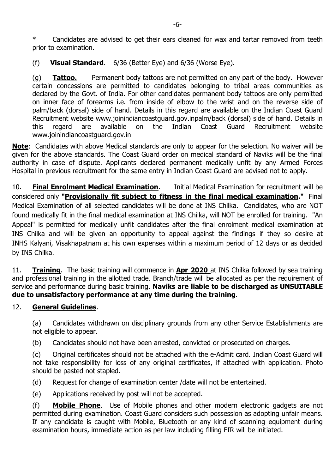\* Candidates are advised to get their ears cleaned for wax and tartar removed from teeth prior to examination.

(f) **Visual Standard**. 6/36 (Better Eye) and 6/36 (Worse Eye).

(g) **Tattoo.** Permanent body tattoos are not permitted on any part of the body. However certain concessions are permitted to candidates belonging to tribal areas communities as declared by the Govt. of India. For other candidates permanent body tattoos are only permitted on inner face of forearms i.e. from inside of elbow to the wrist and on the reverse side of palm/back (dorsal) side of hand. Details in this regard are available on the Indian Coast Guard Recruitment website www.joinindiancoastguard.gov.inpalm/back (dorsal) side of hand. Details in this regard are available on the Indian Coast Guard Recruitment website www.joinindiancoastguard.gov.in

**Note**: Candidates with above Medical standards are only to appear for the selection. No waiver will be given for the above standards. The Coast Guard order on medical standard of Naviks will be the final authority in case of dispute. Applicants declared permanent medically unfit by any Armed Forces Hospital in previous recruitment for the same entry in Indian Coast Guard are advised not to apply.

10. **Final Enrolment Medical Examination**. Initial Medical Examination for recruitment will be considered only **"Provisionally fit subject to fitness in the final medical examination."** Final Medical Examination of all selected candidates will be done at INS Chilka. Candidates, who are NOT found medically fit in the final medical examination at INS Chilka, will NOT be enrolled for training. "An Appeal" is permitted for medically unfit candidates after the final enrolment medical examination at INS Chilka and will be given an opportunity to appeal against the findings if they so desire at INHS Kalyani, Visakhapatnam at his own expenses within a maximum period of 12 days or as decided by INS Chilka.

11. **Training**. The basic training will commence in **Apr 2020** at INS Chilka followed by sea training and professional training in the allotted trade. Branch/trade will be allocated as per the requirement of service and performance during basic training. **Naviks are liable to be discharged as UNSUITABLE due to unsatisfactory performance at any time during the training**.

# 12. **General Guidelines**.

(a) Candidates withdrawn on disciplinary grounds from any other Service Establishments are not eligible to appear.

(b) Candidates should not have been arrested, convicted or prosecuted on charges.

(c) Original certificates should not be attached with the e-Admit card. Indian Coast Guard will not take responsibility for loss of any original certificates, if attached with application. Photo should be pasted not stapled.

(d) Request for change of examination center /date will not be entertained.

(e) Applications received by post will not be accepted.

(f) **Mobile Phone**. Use of Mobile phones and other modern electronic gadgets are not permitted during examination. Coast Guard considers such possession as adopting unfair means. If any candidate is caught with Mobile, Bluetooth or any kind of scanning equipment during examination hours, immediate action as per law including filling FIR will be initiated.